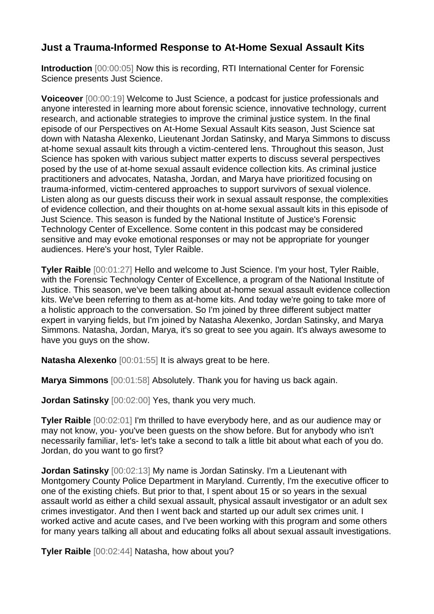## **Just a Trauma-Informed Response to At-Home Sexual Assault Kits**

**Introduction** [00:00:05] Now this is recording, RTI International Center for Forensic Science presents Just Science.

**Voiceover** [00:00:19] Welcome to Just Science, a podcast for justice professionals and anyone interested in learning more about forensic science, innovative technology, current research, and actionable strategies to improve the criminal justice system. In the final episode of our Perspectives on At-Home Sexual Assault Kits season, Just Science sat down with Natasha Alexenko, Lieutenant Jordan Satinsky, and Marya Simmons to discuss at-home sexual assault kits through a victim-centered lens. Throughout this season, Just Science has spoken with various subject matter experts to discuss several perspectives posed by the use of at-home sexual assault evidence collection kits. As criminal justice practitioners and advocates, Natasha, Jordan, and Marya have prioritized focusing on trauma-informed, victim-centered approaches to support survivors of sexual violence. Listen along as our guests discuss their work in sexual assault response, the complexities of evidence collection, and their thoughts on at-home sexual assault kits in this episode of Just Science. This season is funded by the National Institute of Justice's Forensic Technology Center of Excellence. Some content in this podcast may be considered sensitive and may evoke emotional responses or may not be appropriate for younger audiences. Here's your host, Tyler Raible.

**Tyler Raible** [00:01:27] Hello and welcome to Just Science. I'm your host, Tyler Raible, with the Forensic Technology Center of Excellence, a program of the National Institute of Justice. This season, we've been talking about at-home sexual assault evidence collection kits. We've been referring to them as at-home kits. And today we're going to take more of a holistic approach to the conversation. So I'm joined by three different subject matter expert in varying fields, but I'm joined by Natasha Alexenko, Jordan Satinsky, and Marya Simmons. Natasha, Jordan, Marya, it's so great to see you again. It's always awesome to have you guys on the show.

**Natasha Alexenko** [00:01:55] It is always great to be here.

**Marya Simmons** [00:01:58] Absolutely. Thank you for having us back again.

**Jordan Satinsky** [00:02:00] Yes, thank you very much.

**Tyler Raible** [00:02:01] I'm thrilled to have everybody here, and as our audience may or may not know, you- you've been guests on the show before. But for anybody who isn't necessarily familiar, let's- let's take a second to talk a little bit about what each of you do. Jordan, do you want to go first?

**Jordan Satinsky** [00:02:13] My name is Jordan Satinsky. I'm a Lieutenant with Montgomery County Police Department in Maryland. Currently, I'm the executive officer to one of the existing chiefs. But prior to that, I spent about 15 or so years in the sexual assault world as either a child sexual assault, physical assault investigator or an adult sex crimes investigator. And then I went back and started up our adult sex crimes unit. I worked active and acute cases, and I've been working with this program and some others for many years talking all about and educating folks all about sexual assault investigations.

**Tyler Raible** [00:02:44] Natasha, how about you?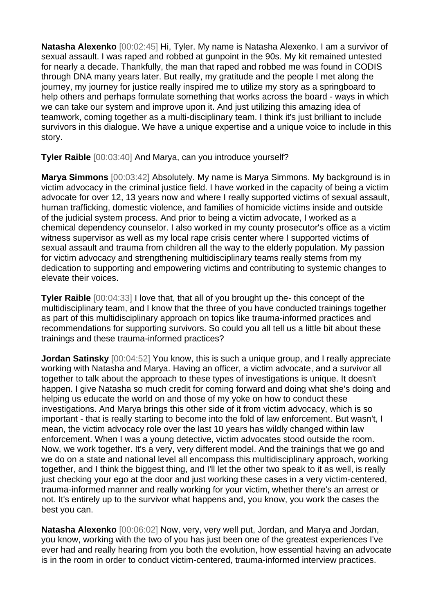**Natasha Alexenko** [00:02:45] Hi, Tyler. My name is Natasha Alexenko. I am a survivor of sexual assault. I was raped and robbed at gunpoint in the 90s. My kit remained untested for nearly a decade. Thankfully, the man that raped and robbed me was found in CODIS through DNA many years later. But really, my gratitude and the people I met along the journey, my journey for justice really inspired me to utilize my story as a springboard to help others and perhaps formulate something that works across the board - ways in which we can take our system and improve upon it. And just utilizing this amazing idea of teamwork, coming together as a multi-disciplinary team. I think it's just brilliant to include survivors in this dialogue. We have a unique expertise and a unique voice to include in this story.

**Tyler Raible** [00:03:40] And Marya, can you introduce yourself?

**Marya Simmons** [00:03:42] Absolutely. My name is Marya Simmons. My background is in victim advocacy in the criminal justice field. I have worked in the capacity of being a victim advocate for over 12, 13 years now and where I really supported victims of sexual assault, human trafficking, domestic violence, and families of homicide victims inside and outside of the judicial system process. And prior to being a victim advocate, I worked as a chemical dependency counselor. I also worked in my county prosecutor's office as a victim witness supervisor as well as my local rape crisis center where I supported victims of sexual assault and trauma from children all the way to the elderly population. My passion for victim advocacy and strengthening multidisciplinary teams really stems from my dedication to supporting and empowering victims and contributing to systemic changes to elevate their voices.

**Tyler Raible** [00:04:33] I love that, that all of you brought up the- this concept of the multidisciplinary team, and I know that the three of you have conducted trainings together as part of this multidisciplinary approach on topics like trauma-informed practices and recommendations for supporting survivors. So could you all tell us a little bit about these trainings and these trauma-informed practices?

**Jordan Satinsky** [00:04:52] You know, this is such a unique group, and I really appreciate working with Natasha and Marya. Having an officer, a victim advocate, and a survivor all together to talk about the approach to these types of investigations is unique. It doesn't happen. I give Natasha so much credit for coming forward and doing what she's doing and helping us educate the world on and those of my yoke on how to conduct these investigations. And Marya brings this other side of it from victim advocacy, which is so important - that is really starting to become into the fold of law enforcement. But wasn't, I mean, the victim advocacy role over the last 10 years has wildly changed within law enforcement. When I was a young detective, victim advocates stood outside the room. Now, we work together. It's a very, very different model. And the trainings that we go and we do on a state and national level all encompass this multidisciplinary approach, working together, and I think the biggest thing, and I'll let the other two speak to it as well, is really just checking your ego at the door and just working these cases in a very victim-centered, trauma-informed manner and really working for your victim, whether there's an arrest or not. It's entirely up to the survivor what happens and, you know, you work the cases the best you can.

**Natasha Alexenko** [00:06:02] Now, very, very well put, Jordan, and Marya and Jordan, you know, working with the two of you has just been one of the greatest experiences I've ever had and really hearing from you both the evolution, how essential having an advocate is in the room in order to conduct victim-centered, trauma-informed interview practices.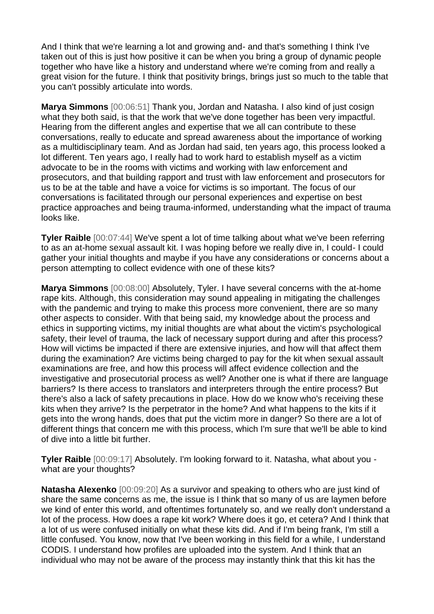And I think that we're learning a lot and growing and- and that's something I think I've taken out of this is just how positive it can be when you bring a group of dynamic people together who have like a history and understand where we're coming from and really a great vision for the future. I think that positivity brings, brings just so much to the table that you can't possibly articulate into words.

**Marya Simmons** [00:06:51] Thank you, Jordan and Natasha. I also kind of just cosign what they both said, is that the work that we've done together has been very impactful. Hearing from the different angles and expertise that we all can contribute to these conversations, really to educate and spread awareness about the importance of working as a multidisciplinary team. And as Jordan had said, ten years ago, this process looked a lot different. Ten years ago, I really had to work hard to establish myself as a victim advocate to be in the rooms with victims and working with law enforcement and prosecutors, and that building rapport and trust with law enforcement and prosecutors for us to be at the table and have a voice for victims is so important. The focus of our conversations is facilitated through our personal experiences and expertise on best practice approaches and being trauma-informed, understanding what the impact of trauma looks like.

**Tyler Raible** [00:07:44] We've spent a lot of time talking about what we've been referring to as an at-home sexual assault kit. I was hoping before we really dive in, I could- I could gather your initial thoughts and maybe if you have any considerations or concerns about a person attempting to collect evidence with one of these kits?

**Marya Simmons** [00:08:00] Absolutely, Tyler. I have several concerns with the at-home rape kits. Although, this consideration may sound appealing in mitigating the challenges with the pandemic and trying to make this process more convenient, there are so many other aspects to consider. With that being said, my knowledge about the process and ethics in supporting victims, my initial thoughts are what about the victim's psychological safety, their level of trauma, the lack of necessary support during and after this process? How will victims be impacted if there are extensive injuries, and how will that affect them during the examination? Are victims being charged to pay for the kit when sexual assault examinations are free, and how this process will affect evidence collection and the investigative and prosecutorial process as well? Another one is what if there are language barriers? Is there access to translators and interpreters through the entire process? But there's also a lack of safety precautions in place. How do we know who's receiving these kits when they arrive? Is the perpetrator in the home? And what happens to the kits if it gets into the wrong hands, does that put the victim more in danger? So there are a lot of different things that concern me with this process, which I'm sure that we'll be able to kind of dive into a little bit further.

**Tyler Raible** [00:09:17] Absolutely. I'm looking forward to it. Natasha, what about you what are your thoughts?

**Natasha Alexenko** [00:09:20] As a survivor and speaking to others who are just kind of share the same concerns as me, the issue is I think that so many of us are laymen before we kind of enter this world, and oftentimes fortunately so, and we really don't understand a lot of the process. How does a rape kit work? Where does it go, et cetera? And I think that a lot of us were confused initially on what these kits did. And if I'm being frank, I'm still a little confused. You know, now that I've been working in this field for a while, I understand CODIS. I understand how profiles are uploaded into the system. And I think that an individual who may not be aware of the process may instantly think that this kit has the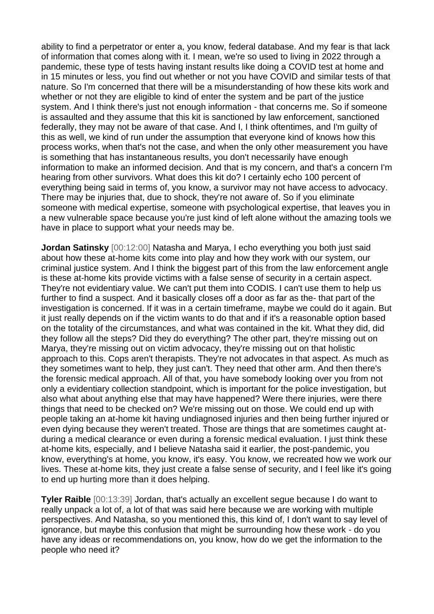ability to find a perpetrator or enter a, you know, federal database. And my fear is that lack of information that comes along with it. I mean, we're so used to living in 2022 through a pandemic, these type of tests having instant results like doing a COVID test at home and in 15 minutes or less, you find out whether or not you have COVID and similar tests of that nature. So I'm concerned that there will be a misunderstanding of how these kits work and whether or not they are eligible to kind of enter the system and be part of the justice system. And I think there's just not enough information - that concerns me. So if someone is assaulted and they assume that this kit is sanctioned by law enforcement, sanctioned federally, they may not be aware of that case. And I, I think oftentimes, and I'm guilty of this as well, we kind of run under the assumption that everyone kind of knows how this process works, when that's not the case, and when the only other measurement you have is something that has instantaneous results, you don't necessarily have enough information to make an informed decision. And that is my concern, and that's a concern I'm hearing from other survivors. What does this kit do? I certainly echo 100 percent of everything being said in terms of, you know, a survivor may not have access to advocacy. There may be injuries that, due to shock, they're not aware of. So if you eliminate someone with medical expertise, someone with psychological expertise, that leaves you in a new vulnerable space because you're just kind of left alone without the amazing tools we have in place to support what your needs may be.

**Jordan Satinsky** [00:12:00] Natasha and Marya, I echo everything you both just said about how these at-home kits come into play and how they work with our system, our criminal justice system. And I think the biggest part of this from the law enforcement angle is these at-home kits provide victims with a false sense of security in a certain aspect. They're not evidentiary value. We can't put them into CODIS. I can't use them to help us further to find a suspect. And it basically closes off a door as far as the- that part of the investigation is concerned. If it was in a certain timeframe, maybe we could do it again. But it just really depends on if the victim wants to do that and if it's a reasonable option based on the totality of the circumstances, and what was contained in the kit. What they did, did they follow all the steps? Did they do everything? The other part, they're missing out on Marya, they're missing out on victim advocacy, they're missing out on that holistic approach to this. Cops aren't therapists. They're not advocates in that aspect. As much as they sometimes want to help, they just can't. They need that other arm. And then there's the forensic medical approach. All of that, you have somebody looking over you from not only a evidentiary collection standpoint, which is important for the police investigation, but also what about anything else that may have happened? Were there injuries, were there things that need to be checked on? We're missing out on those. We could end up with people taking an at-home kit having undiagnosed injuries and then being further injured or even dying because they weren't treated. Those are things that are sometimes caught atduring a medical clearance or even during a forensic medical evaluation. I just think these at-home kits, especially, and I believe Natasha said it earlier, the post-pandemic, you know, everything's at home, you know, it's easy. You know, we recreated how we work our lives. These at-home kits, they just create a false sense of security, and I feel like it's going to end up hurting more than it does helping.

**Tyler Raible** [00:13:39] Jordan, that's actually an excellent segue because I do want to really unpack a lot of, a lot of that was said here because we are working with multiple perspectives. And Natasha, so you mentioned this, this kind of, I don't want to say level of ignorance, but maybe this confusion that might be surrounding how these work - do you have any ideas or recommendations on, you know, how do we get the information to the people who need it?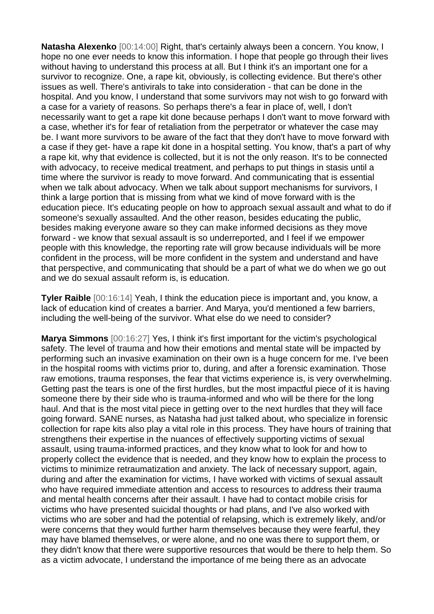**Natasha Alexenko** [00:14:00] Right, that's certainly always been a concern. You know, I hope no one ever needs to know this information. I hope that people go through their lives without having to understand this process at all. But I think it's an important one for a survivor to recognize. One, a rape kit, obviously, is collecting evidence. But there's other issues as well. There's antivirals to take into consideration - that can be done in the hospital. And you know, I understand that some survivors may not wish to go forward with a case for a variety of reasons. So perhaps there's a fear in place of, well, I don't necessarily want to get a rape kit done because perhaps I don't want to move forward with a case, whether it's for fear of retaliation from the perpetrator or whatever the case may be. I want more survivors to be aware of the fact that they don't have to move forward with a case if they get- have a rape kit done in a hospital setting. You know, that's a part of why a rape kit, why that evidence is collected, but it is not the only reason. It's to be connected with advocacy, to receive medical treatment, and perhaps to put things in stasis until a time where the survivor is ready to move forward. And communicating that is essential when we talk about advocacy. When we talk about support mechanisms for survivors, I think a large portion that is missing from what we kind of move forward with is the education piece. It's educating people on how to approach sexual assault and what to do if someone's sexually assaulted. And the other reason, besides educating the public, besides making everyone aware so they can make informed decisions as they move forward - we know that sexual assault is so underreported, and I feel if we empower people with this knowledge, the reporting rate will grow because individuals will be more confident in the process, will be more confident in the system and understand and have that perspective, and communicating that should be a part of what we do when we go out and we do sexual assault reform is, is education.

**Tyler Raible** [00:16:14] Yeah, I think the education piece is important and, you know, a lack of education kind of creates a barrier. And Marya, you'd mentioned a few barriers, including the well-being of the survivor. What else do we need to consider?

**Marya Simmons** [00:16:27] Yes, I think it's first important for the victim's psychological safety. The level of trauma and how their emotions and mental state will be impacted by performing such an invasive examination on their own is a huge concern for me. I've been in the hospital rooms with victims prior to, during, and after a forensic examination. Those raw emotions, trauma responses, the fear that victims experience is, is very overwhelming. Getting past the tears is one of the first hurdles, but the most impactful piece of it is having someone there by their side who is trauma-informed and who will be there for the long haul. And that is the most vital piece in getting over to the next hurdles that they will face going forward. SANE nurses, as Natasha had just talked about, who specialize in forensic collection for rape kits also play a vital role in this process. They have hours of training that strengthens their expertise in the nuances of effectively supporting victims of sexual assault, using trauma-informed practices, and they know what to look for and how to properly collect the evidence that is needed, and they know how to explain the process to victims to minimize retraumatization and anxiety. The lack of necessary support, again, during and after the examination for victims, I have worked with victims of sexual assault who have required immediate attention and access to resources to address their trauma and mental health concerns after their assault. I have had to contact mobile crisis for victims who have presented suicidal thoughts or had plans, and I've also worked with victims who are sober and had the potential of relapsing, which is extremely likely, and/or were concerns that they would further harm themselves because they were fearful, they may have blamed themselves, or were alone, and no one was there to support them, or they didn't know that there were supportive resources that would be there to help them. So as a victim advocate, I understand the importance of me being there as an advocate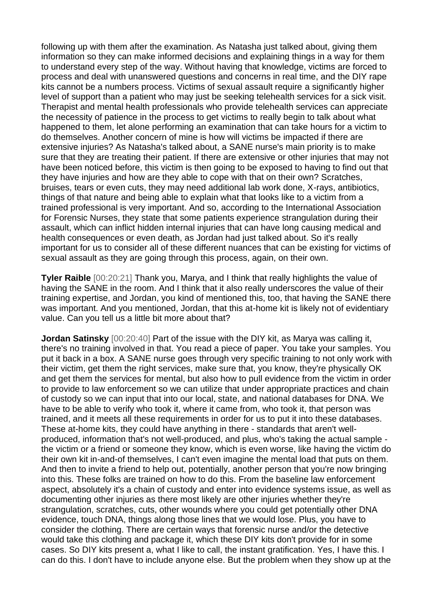following up with them after the examination. As Natasha just talked about, giving them information so they can make informed decisions and explaining things in a way for them to understand every step of the way. Without having that knowledge, victims are forced to process and deal with unanswered questions and concerns in real time, and the DIY rape kits cannot be a numbers process. Victims of sexual assault require a significantly higher level of support than a patient who may just be seeking telehealth services for a sick visit. Therapist and mental health professionals who provide telehealth services can appreciate the necessity of patience in the process to get victims to really begin to talk about what happened to them, let alone performing an examination that can take hours for a victim to do themselves. Another concern of mine is how will victims be impacted if there are extensive injuries? As Natasha's talked about, a SANE nurse's main priority is to make sure that they are treating their patient. If there are extensive or other injuries that may not have been noticed before, this victim is then going to be exposed to having to find out that they have injuries and how are they able to cope with that on their own? Scratches, bruises, tears or even cuts, they may need additional lab work done, X-rays, antibiotics, things of that nature and being able to explain what that looks like to a victim from a trained professional is very important. And so, according to the International Association for Forensic Nurses, they state that some patients experience strangulation during their assault, which can inflict hidden internal injuries that can have long causing medical and health consequences or even death, as Jordan had just talked about. So it's really important for us to consider all of these different nuances that can be existing for victims of sexual assault as they are going through this process, again, on their own.

**Tyler Raible** [00:20:21] Thank you, Marya, and I think that really highlights the value of having the SANE in the room. And I think that it also really underscores the value of their training expertise, and Jordan, you kind of mentioned this, too, that having the SANE there was important. And you mentioned, Jordan, that this at-home kit is likely not of evidentiary value. Can you tell us a little bit more about that?

**Jordan Satinsky** [00:20:40] Part of the issue with the DIY kit, as Marya was calling it, there's no training involved in that. You read a piece of paper. You take your samples. You put it back in a box. A SANE nurse goes through very specific training to not only work with their victim, get them the right services, make sure that, you know, they're physically OK and get them the services for mental, but also how to pull evidence from the victim in order to provide to law enforcement so we can utilize that under appropriate practices and chain of custody so we can input that into our local, state, and national databases for DNA. We have to be able to verify who took it, where it came from, who took it, that person was trained, and it meets all these requirements in order for us to put it into these databases. These at-home kits, they could have anything in there - standards that aren't wellproduced, information that's not well-produced, and plus, who's taking the actual sample the victim or a friend or someone they know, which is even worse, like having the victim do their own kit in-and-of themselves, I can't even imagine the mental load that puts on them. And then to invite a friend to help out, potentially, another person that you're now bringing into this. These folks are trained on how to do this. From the baseline law enforcement aspect, absolutely it's a chain of custody and enter into evidence systems issue, as well as documenting other injuries as there most likely are other injuries whether they're strangulation, scratches, cuts, other wounds where you could get potentially other DNA evidence, touch DNA, things along those lines that we would lose. Plus, you have to consider the clothing. There are certain ways that forensic nurse and/or the detective would take this clothing and package it, which these DIY kits don't provide for in some cases. So DIY kits present a, what I like to call, the instant gratification. Yes, I have this. I can do this. I don't have to include anyone else. But the problem when they show up at the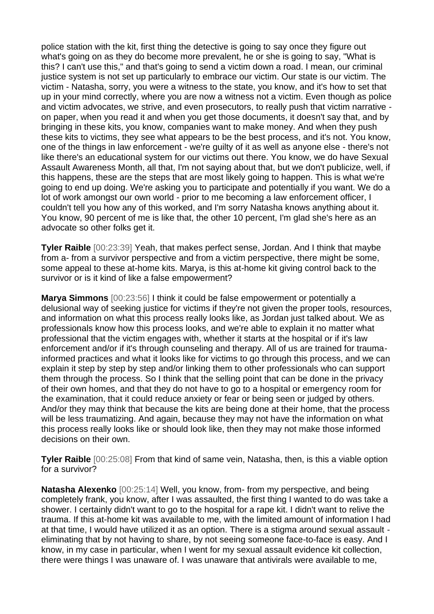police station with the kit, first thing the detective is going to say once they figure out what's going on as they do become more prevalent, he or she is going to say, "What is this? I can't use this," and that's going to send a victim down a road. I mean, our criminal justice system is not set up particularly to embrace our victim. Our state is our victim. The victim - Natasha, sorry, you were a witness to the state, you know, and it's how to set that up in your mind correctly, where you are now a witness not a victim. Even though as police and victim advocates, we strive, and even prosecutors, to really push that victim narrative on paper, when you read it and when you get those documents, it doesn't say that, and by bringing in these kits, you know, companies want to make money. And when they push these kits to victims, they see what appears to be the best process, and it's not. You know, one of the things in law enforcement - we're guilty of it as well as anyone else - there's not like there's an educational system for our victims out there. You know, we do have Sexual Assault Awareness Month, all that, I'm not saying about that, but we don't publicize, well, if this happens, these are the steps that are most likely going to happen. This is what we're going to end up doing. We're asking you to participate and potentially if you want. We do a lot of work amongst our own world - prior to me becoming a law enforcement officer, I couldn't tell you how any of this worked, and I'm sorry Natasha knows anything about it. You know, 90 percent of me is like that, the other 10 percent, I'm glad she's here as an advocate so other folks get it.

**Tyler Raible** [00:23:39] Yeah, that makes perfect sense, Jordan. And I think that maybe from a- from a survivor perspective and from a victim perspective, there might be some, some appeal to these at-home kits. Marya, is this at-home kit giving control back to the survivor or is it kind of like a false empowerment?

**Marya Simmons** [00:23:56] I think it could be false empowerment or potentially a delusional way of seeking justice for victims if they're not given the proper tools, resources, and information on what this process really looks like, as Jordan just talked about. We as professionals know how this process looks, and we're able to explain it no matter what professional that the victim engages with, whether it starts at the hospital or if it's law enforcement and/or if it's through counseling and therapy. All of us are trained for traumainformed practices and what it looks like for victims to go through this process, and we can explain it step by step by step and/or linking them to other professionals who can support them through the process. So I think that the selling point that can be done in the privacy of their own homes, and that they do not have to go to a hospital or emergency room for the examination, that it could reduce anxiety or fear or being seen or judged by others. And/or they may think that because the kits are being done at their home, that the process will be less traumatizing. And again, because they may not have the information on what this process really looks like or should look like, then they may not make those informed decisions on their own.

**Tyler Raible** [00:25:08] From that kind of same vein, Natasha, then, is this a viable option for a survivor?

**Natasha Alexenko** [00:25:14] Well, you know, from- from my perspective, and being completely frank, you know, after I was assaulted, the first thing I wanted to do was take a shower. I certainly didn't want to go to the hospital for a rape kit. I didn't want to relive the trauma. If this at-home kit was available to me, with the limited amount of information I had at that time, I would have utilized it as an option. There is a stigma around sexual assault eliminating that by not having to share, by not seeing someone face-to-face is easy. And I know, in my case in particular, when I went for my sexual assault evidence kit collection, there were things I was unaware of. I was unaware that antivirals were available to me,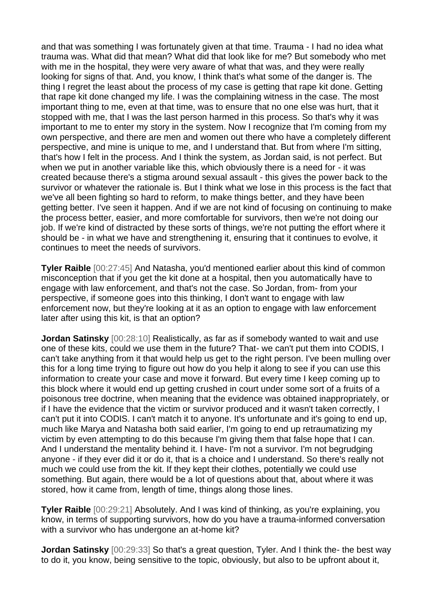and that was something I was fortunately given at that time. Trauma - I had no idea what trauma was. What did that mean? What did that look like for me? But somebody who met with me in the hospital, they were very aware of what that was, and they were really looking for signs of that. And, you know, I think that's what some of the danger is. The thing I regret the least about the process of my case is getting that rape kit done. Getting that rape kit done changed my life. I was the complaining witness in the case. The most important thing to me, even at that time, was to ensure that no one else was hurt, that it stopped with me, that I was the last person harmed in this process. So that's why it was important to me to enter my story in the system. Now I recognize that I'm coming from my own perspective, and there are men and women out there who have a completely different perspective, and mine is unique to me, and I understand that. But from where I'm sitting, that's how I felt in the process. And I think the system, as Jordan said, is not perfect. But when we put in another variable like this, which obviously there is a need for - it was created because there's a stigma around sexual assault - this gives the power back to the survivor or whatever the rationale is. But I think what we lose in this process is the fact that we've all been fighting so hard to reform, to make things better, and they have been getting better. I've seen it happen. And if we are not kind of focusing on continuing to make the process better, easier, and more comfortable for survivors, then we're not doing our job. If we're kind of distracted by these sorts of things, we're not putting the effort where it should be - in what we have and strengthening it, ensuring that it continues to evolve, it continues to meet the needs of survivors.

**Tyler Raible** [00:27:45] And Natasha, you'd mentioned earlier about this kind of common misconception that if you get the kit done at a hospital, then you automatically have to engage with law enforcement, and that's not the case. So Jordan, from- from your perspective, if someone goes into this thinking, I don't want to engage with law enforcement now, but they're looking at it as an option to engage with law enforcement later after using this kit, is that an option?

**Jordan Satinsky** [00:28:10] Realistically, as far as if somebody wanted to wait and use one of these kits, could we use them in the future? That- we can't put them into CODIS, I can't take anything from it that would help us get to the right person. I've been mulling over this for a long time trying to figure out how do you help it along to see if you can use this information to create your case and move it forward. But every time I keep coming up to this block where it would end up getting crushed in court under some sort of a fruits of a poisonous tree doctrine, when meaning that the evidence was obtained inappropriately, or if I have the evidence that the victim or survivor produced and it wasn't taken correctly, I can't put it into CODIS. I can't match it to anyone. It's unfortunate and it's going to end up, much like Marya and Natasha both said earlier, I'm going to end up retraumatizing my victim by even attempting to do this because I'm giving them that false hope that I can. And I understand the mentality behind it. I have- I'm not a survivor. I'm not begrudging anyone - if they ever did it or do it, that is a choice and I understand. So there's really not much we could use from the kit. If they kept their clothes, potentially we could use something. But again, there would be a lot of questions about that, about where it was stored, how it came from, length of time, things along those lines.

**Tyler Raible** [00:29:21] Absolutely. And I was kind of thinking, as you're explaining, you know, in terms of supporting survivors, how do you have a trauma-informed conversation with a survivor who has undergone an at-home kit?

**Jordan Satinsky** [00:29:33] So that's a great question, Tyler. And I think the- the best way to do it, you know, being sensitive to the topic, obviously, but also to be upfront about it,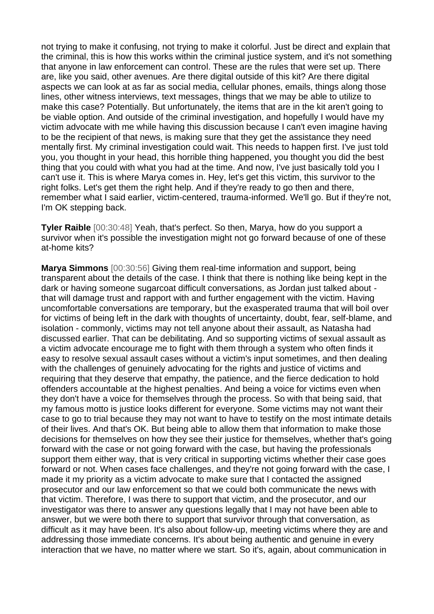not trying to make it confusing, not trying to make it colorful. Just be direct and explain that the criminal, this is how this works within the criminal justice system, and it's not something that anyone in law enforcement can control. These are the rules that were set up. There are, like you said, other avenues. Are there digital outside of this kit? Are there digital aspects we can look at as far as social media, cellular phones, emails, things along those lines, other witness interviews, text messages, things that we may be able to utilize to make this case? Potentially. But unfortunately, the items that are in the kit aren't going to be viable option. And outside of the criminal investigation, and hopefully I would have my victim advocate with me while having this discussion because I can't even imagine having to be the recipient of that news, is making sure that they get the assistance they need mentally first. My criminal investigation could wait. This needs to happen first. I've just told you, you thought in your head, this horrible thing happened, you thought you did the best thing that you could with what you had at the time. And now, I've just basically told you I can't use it. This is where Marya comes in. Hey, let's get this victim, this survivor to the right folks. Let's get them the right help. And if they're ready to go then and there, remember what I said earlier, victim-centered, trauma-informed. We'll go. But if they're not, I'm OK stepping back.

**Tyler Raible** [00:30:48] Yeah, that's perfect. So then, Marya, how do you support a survivor when it's possible the investigation might not go forward because of one of these at-home kits?

**Marya Simmons** [00:30:56] Giving them real-time information and support, being transparent about the details of the case. I think that there is nothing like being kept in the dark or having someone sugarcoat difficult conversations, as Jordan just talked about that will damage trust and rapport with and further engagement with the victim. Having uncomfortable conversations are temporary, but the exasperated trauma that will boil over for victims of being left in the dark with thoughts of uncertainty, doubt, fear, self-blame, and isolation - commonly, victims may not tell anyone about their assault, as Natasha had discussed earlier. That can be debilitating. And so supporting victims of sexual assault as a victim advocate encourage me to fight with them through a system who often finds it easy to resolve sexual assault cases without a victim's input sometimes, and then dealing with the challenges of genuinely advocating for the rights and justice of victims and requiring that they deserve that empathy, the patience, and the fierce dedication to hold offenders accountable at the highest penalties. And being a voice for victims even when they don't have a voice for themselves through the process. So with that being said, that my famous motto is justice looks different for everyone. Some victims may not want their case to go to trial because they may not want to have to testify on the most intimate details of their lives. And that's OK. But being able to allow them that information to make those decisions for themselves on how they see their justice for themselves, whether that's going forward with the case or not going forward with the case, but having the professionals support them either way, that is very critical in supporting victims whether their case goes forward or not. When cases face challenges, and they're not going forward with the case, I made it my priority as a victim advocate to make sure that I contacted the assigned prosecutor and our law enforcement so that we could both communicate the news with that victim. Therefore, I was there to support that victim, and the prosecutor, and our investigator was there to answer any questions legally that I may not have been able to answer, but we were both there to support that survivor through that conversation, as difficult as it may have been. It's also about follow-up, meeting victims where they are and addressing those immediate concerns. It's about being authentic and genuine in every interaction that we have, no matter where we start. So it's, again, about communication in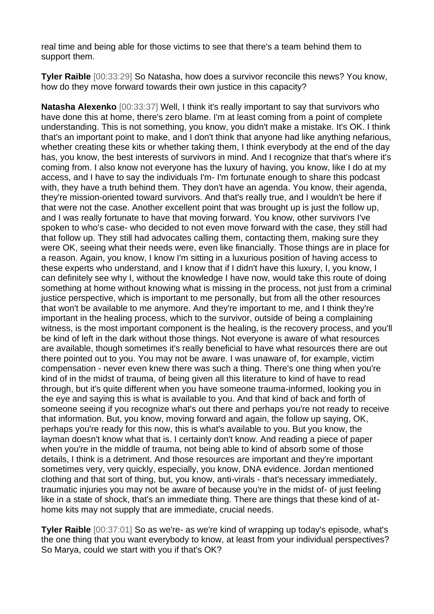real time and being able for those victims to see that there's a team behind them to support them.

**Tyler Raible** [00:33:29] So Natasha, how does a survivor reconcile this news? You know, how do they move forward towards their own justice in this capacity?

**Natasha Alexenko** [00:33:37] Well, I think it's really important to say that survivors who have done this at home, there's zero blame. I'm at least coming from a point of complete understanding. This is not something, you know, you didn't make a mistake. It's OK. I think that's an important point to make, and I don't think that anyone had like anything nefarious, whether creating these kits or whether taking them, I think everybody at the end of the day has, you know, the best interests of survivors in mind. And I recognize that that's where it's coming from. I also know not everyone has the luxury of having, you know, like I do at my access, and I have to say the individuals I'm- I'm fortunate enough to share this podcast with, they have a truth behind them. They don't have an agenda. You know, their agenda, they're mission-oriented toward survivors. And that's really true, and I wouldn't be here if that were not the case. Another excellent point that was brought up is just the follow up, and I was really fortunate to have that moving forward. You know, other survivors I've spoken to who's case- who decided to not even move forward with the case, they still had that follow up. They still had advocates calling them, contacting them, making sure they were OK, seeing what their needs were, even like financially. Those things are in place for a reason. Again, you know, I know I'm sitting in a luxurious position of having access to these experts who understand, and I know that if I didn't have this luxury, I, you know, I can definitely see why I, without the knowledge I have now, would take this route of doing something at home without knowing what is missing in the process, not just from a criminal justice perspective, which is important to me personally, but from all the other resources that won't be available to me anymore. And they're important to me, and I think they're important in the healing process, which to the survivor, outside of being a complaining witness, is the most important component is the healing, is the recovery process, and you'll be kind of left in the dark without those things. Not everyone is aware of what resources are available, though sometimes it's really beneficial to have what resources there are out there pointed out to you. You may not be aware. I was unaware of, for example, victim compensation - never even knew there was such a thing. There's one thing when you're kind of in the midst of trauma, of being given all this literature to kind of have to read through, but it's quite different when you have someone trauma-informed, looking you in the eye and saying this is what is available to you. And that kind of back and forth of someone seeing if you recognize what's out there and perhaps you're not ready to receive that information. But, you know, moving forward and again, the follow up saying, OK, perhaps you're ready for this now, this is what's available to you. But you know, the layman doesn't know what that is. I certainly don't know. And reading a piece of paper when you're in the middle of trauma, not being able to kind of absorb some of those details, I think is a detriment. And those resources are important and they're important sometimes very, very quickly, especially, you know, DNA evidence. Jordan mentioned clothing and that sort of thing, but, you know, anti-virals - that's necessary immediately, traumatic injuries you may not be aware of because you're in the midst of- of just feeling like in a state of shock, that's an immediate thing. There are things that these kind of athome kits may not supply that are immediate, crucial needs.

**Tyler Raible** [00:37:01] So as we're- as we're kind of wrapping up today's episode, what's the one thing that you want everybody to know, at least from your individual perspectives? So Marya, could we start with you if that's OK?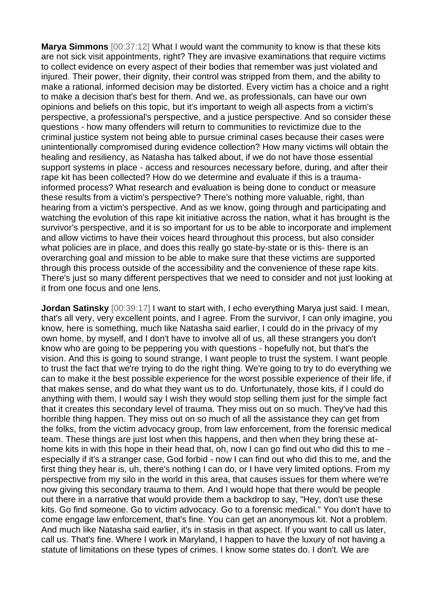**Marya Simmons** [00:37:12] What I would want the community to know is that these kits are not sick visit appointments, right? They are invasive examinations that require victims to collect evidence on every aspect of their bodies that remember was just violated and injured. Their power, their dignity, their control was stripped from them, and the ability to make a rational, informed decision may be distorted. Every victim has a choice and a right to make a decision that's best for them. And we, as professionals, can have our own opinions and beliefs on this topic, but it's important to weigh all aspects from a victim's perspective, a professional's perspective, and a justice perspective. And so consider these questions - how many offenders will return to communities to revictimize due to the criminal justice system not being able to pursue criminal cases because their cases were unintentionally compromised during evidence collection? How many victims will obtain the healing and resiliency, as Natasha has talked about, if we do not have those essential support systems in place - access and resources necessary before, during, and after their rape kit has been collected? How do we determine and evaluate if this is a traumainformed process? What research and evaluation is being done to conduct or measure these results from a victim's perspective? There's nothing more valuable, right, than hearing from a victim's perspective. And as we know, going through and participating and watching the evolution of this rape kit initiative across the nation, what it has brought is the survivor's perspective, and it is so important for us to be able to incorporate and implement and allow victims to have their voices heard throughout this process, but also consider what policies are in place, and does this really go state-by-state or is this- there is an overarching goal and mission to be able to make sure that these victims are supported through this process outside of the accessibility and the convenience of these rape kits. There's just so many different perspectives that we need to consider and not just looking at it from one focus and one lens.

**Jordan Satinsky** [00:39:17] I want to start with, I echo everything Marya just said. I mean, that's all very, very excellent points, and I agree. From the survivor, I can only imagine, you know, here is something, much like Natasha said earlier, I could do in the privacy of my own home, by myself, and I don't have to involve all of us, all these strangers you don't know who are going to be peppering you with questions - hopefully not, but that's the vision. And this is going to sound strange, I want people to trust the system. I want people to trust the fact that we're trying to do the right thing. We're going to try to do everything we can to make it the best possible experience for the worst possible experience of their life, if that makes sense, and do what they want us to do. Unfortunately, those kits, if I could do anything with them, I would say I wish they would stop selling them just for the simple fact that it creates this secondary level of trauma. They miss out on so much. They've had this horrible thing happen. They miss out on so much of all the assistance they can get from the folks, from the victim advocacy group, from law enforcement, from the forensic medical team. These things are just lost when this happens, and then when they bring these athome kits in with this hope in their head that, oh, now I can go find out who did this to me especially if it's a stranger case, God forbid - now I can find out who did this to me, and the first thing they hear is, uh, there's nothing I can do, or I have very limited options. From my perspective from my silo in the world in this area, that causes issues for them where we're now giving this secondary trauma to them. And I would hope that there would be people out there in a narrative that would provide them a backdrop to say, "Hey, don't use these kits. Go find someone. Go to victim advocacy. Go to a forensic medical." You don't have to come engage law enforcement, that's fine. You can get an anonymous kit. Not a problem. And much like Natasha said earlier, it's in stasis in that aspect. If you want to call us later, call us. That's fine. Where I work in Maryland, I happen to have the luxury of not having a statute of limitations on these types of crimes. I know some states do. I don't. We are